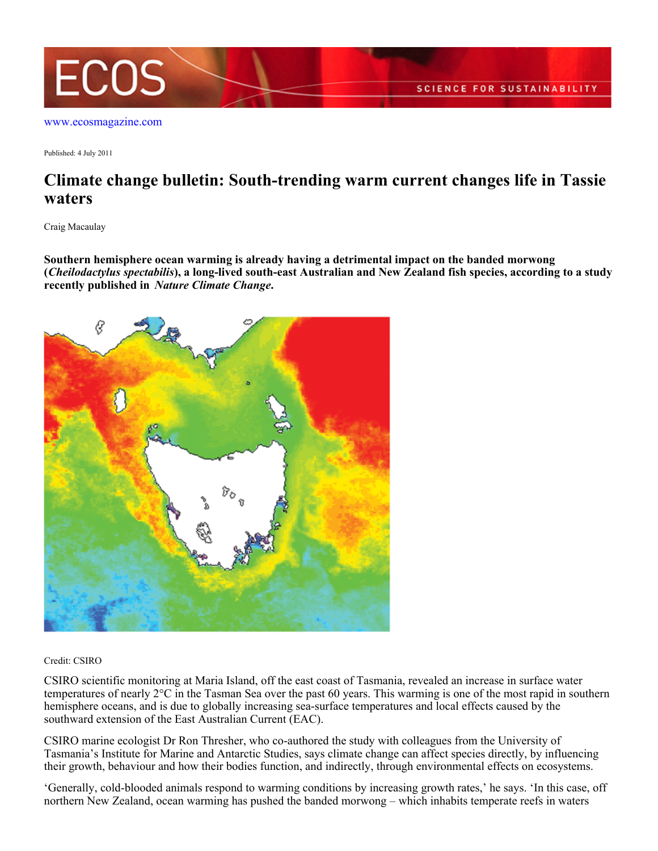

[www.ecosmagazine.com](http://www.ecosmagazine.com)

Published: 4 July 2011

## **Climate change bulletin: South-trending warm current changes life in Tassie waters**

Craig Macaulay

**Southern hemisphere ocean warming is already having a detrimental impact on the banded morwong (***Cheilodactylus spectabilis***), a long-lived south-east Australian and New Zealand fish species, according to a study recently published in** *Nature Climate Change***.**



## Credit: CSIRO

CSIRO scientific monitoring at Maria Island, off the east coast of Tasmania, revealed an increase in surface water temperatures of nearly  $2^{\circ}C$  in the Tasman Sea over the past 60 years. This warming is one of the most rapid in southern hemisphere oceans, and is due to globally increasing sea-surface temperatures and local effects caused by the southward extension of the East Australian Current (EAC).

CSIRO marine ecologist Dr Ron Thresher, who co-authored the study with colleagues from the University of Tasmania's Institute for Marine and Antarctic Studies, says climate change can affect species directly, by influencing their growth, behaviour and how their bodies function, and indirectly, through environmental effects on ecosystems.

'Generally, cold-blooded animals respond to warming conditions by increasing growth rates,' he says. 'In this case, off northern New Zealand, ocean warming has pushed the banded morwong – which inhabits temperate reefs in waters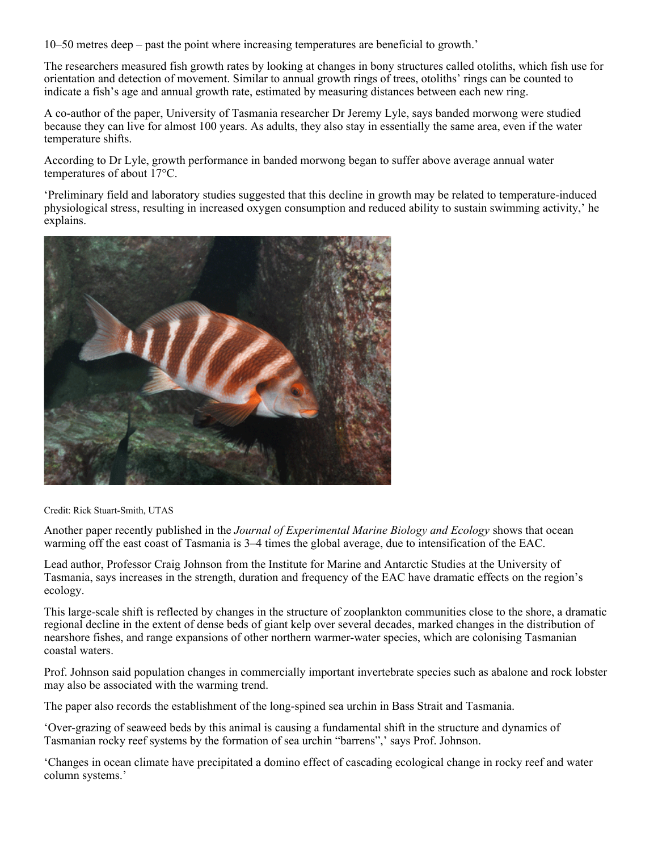10–50 metres deep – past the point where increasing temperatures are beneficial to growth.'

The researchers measured fish growth rates by looking at changes in bony structures called otoliths, which fish use for orientation and detection of movement. Similar to annual growth rings of trees, otoliths' rings can be counted to indicate a fish's age and annual growth rate, estimated by measuring distances between each new ring.

A co-author of the paper, University of Tasmania researcher Dr Jeremy Lyle, says banded morwong were studied because they can live for almost 100 years. As adults, they also stay in essentially the same area, even if the water temperature shifts.

According to Dr Lyle, growth performance in banded morwong began to suffer above average annual water temperatures of about 17°C.

'Preliminary field and laboratory studies suggested that this decline in growth may be related to temperature-induced physiological stress, resulting in increased oxygen consumption and reduced ability to sustain swimming activity,' he explains.



Credit: Rick Stuart-Smith, UTAS

Another paper recently published in the *Journal of Experimental Marine Biology and Ecology* shows that ocean warming off the east coast of Tasmania is 3–4 times the global average, due to intensification of the EAC.

Lead author, Professor Craig Johnson from the Institute for Marine and Antarctic Studies at the University of Tasmania, says increases in the strength, duration and frequency of the EAC have dramatic effects on the region's ecology.

This large-scale shift is reflected by changes in the structure of zooplankton communities close to the shore, a dramatic regional decline in the extent of dense beds of giant kelp over several decades, marked changes in the distribution of nearshore fishes, and range expansions of other northern warmer-water species, which are colonising Tasmanian coastal waters.

Prof. Johnson said population changes in commercially important invertebrate species such as abalone and rock lobster may also be associated with the warming trend.

The paper also records the establishment of the long-spined sea urchin in Bass Strait and Tasmania.

'Over-grazing of seaweed beds by this animal is causing a fundamental shift in the structure and dynamics of Tasmanian rocky reef systems by the formation of sea urchin "barrens",' says Prof. Johnson.

'Changes in ocean climate have precipitated a domino effect of cascading ecological change in rocky reef and water column systems.'